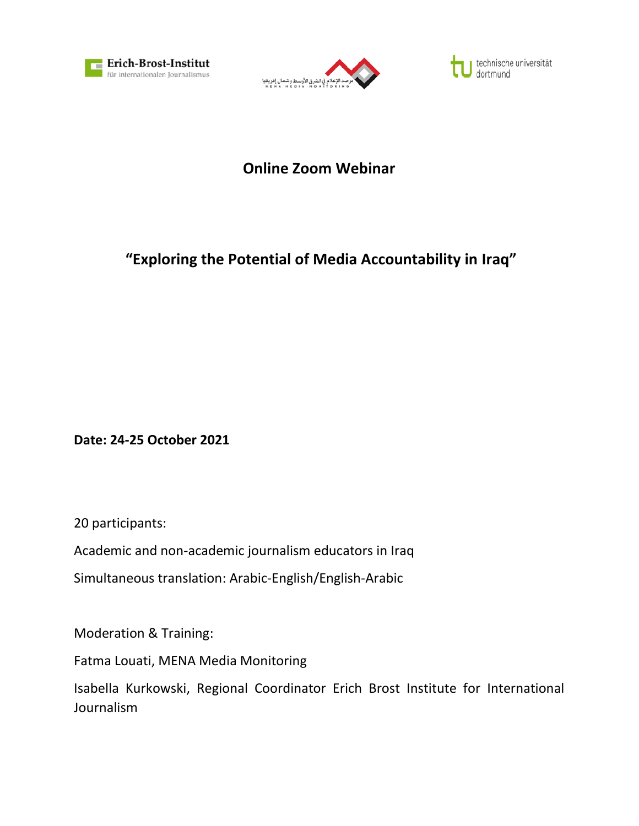



technische universität dortmund

## **Online Zoom Webinar**

## **"Exploring the Potential of Media Accountability in Iraq"**

**Date: 24-25 October 2021**

20 participants:

Academic and non-academic journalism educators in Iraq

Simultaneous translation: Arabic-English/English-Arabic

Moderation & Training:

Fatma Louati, MENA Media Monitoring

Isabella Kurkowski, Regional Coordinator Erich Brost Institute for International Journalism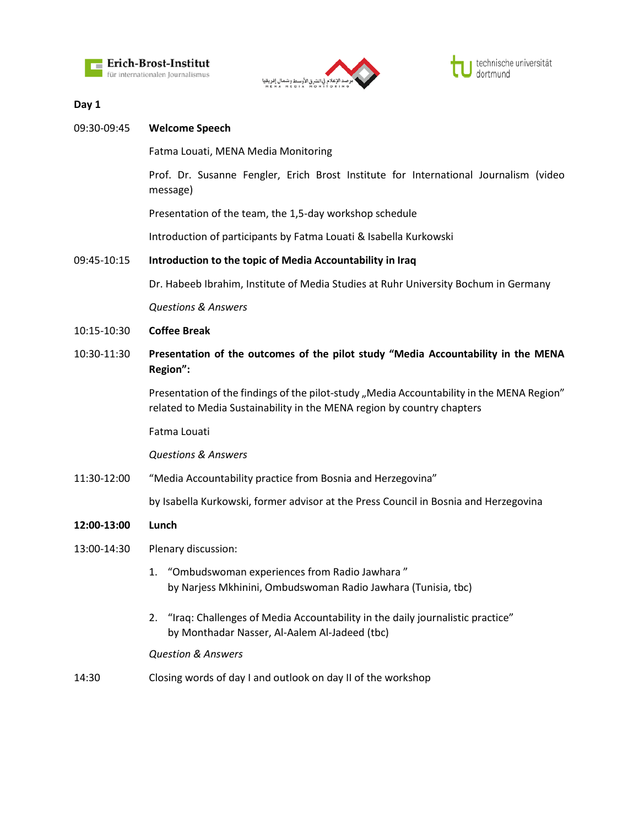



## **Day 1**

| 09:30-09:45 | <b>Welcome Speech</b>                                                                                                                                                 |
|-------------|-----------------------------------------------------------------------------------------------------------------------------------------------------------------------|
|             | Fatma Louati, MENA Media Monitoring                                                                                                                                   |
|             | Prof. Dr. Susanne Fengler, Erich Brost Institute for International Journalism (video<br>message)                                                                      |
|             | Presentation of the team, the 1,5-day workshop schedule                                                                                                               |
|             | Introduction of participants by Fatma Louati & Isabella Kurkowski                                                                                                     |
| 09:45-10:15 | Introduction to the topic of Media Accountability in Iraq                                                                                                             |
|             | Dr. Habeeb Ibrahim, Institute of Media Studies at Ruhr University Bochum in Germany                                                                                   |
|             | <b>Questions &amp; Answers</b>                                                                                                                                        |
| 10:15-10:30 | <b>Coffee Break</b>                                                                                                                                                   |
| 10:30-11:30 | Presentation of the outcomes of the pilot study "Media Accountability in the MENA<br>Region":                                                                         |
|             | Presentation of the findings of the pilot-study "Media Accountability in the MENA Region"<br>related to Media Sustainability in the MENA region by country chapters   |
|             | Fatma Louati                                                                                                                                                          |
|             | <b>Questions &amp; Answers</b>                                                                                                                                        |
| 11:30-12:00 | "Media Accountability practice from Bosnia and Herzegovina"                                                                                                           |
|             | by Isabella Kurkowski, former advisor at the Press Council in Bosnia and Herzegovina                                                                                  |
| 12:00-13:00 | Lunch                                                                                                                                                                 |
| 13:00-14:30 | Plenary discussion:                                                                                                                                                   |
|             | "Ombudswoman experiences from Radio Jawhara"<br>1.<br>by Narjess Mkhinini, Ombudswoman Radio Jawhara (Tunisia, tbc)                                                   |
|             | "Iraq: Challenges of Media Accountability in the daily journalistic practice"<br>2.<br>by Monthadar Nasser, Al-Aalem Al-Jadeed (tbc)<br><b>Question &amp; Answers</b> |

14:30 Closing words of day I and outlook on day II of the workshop